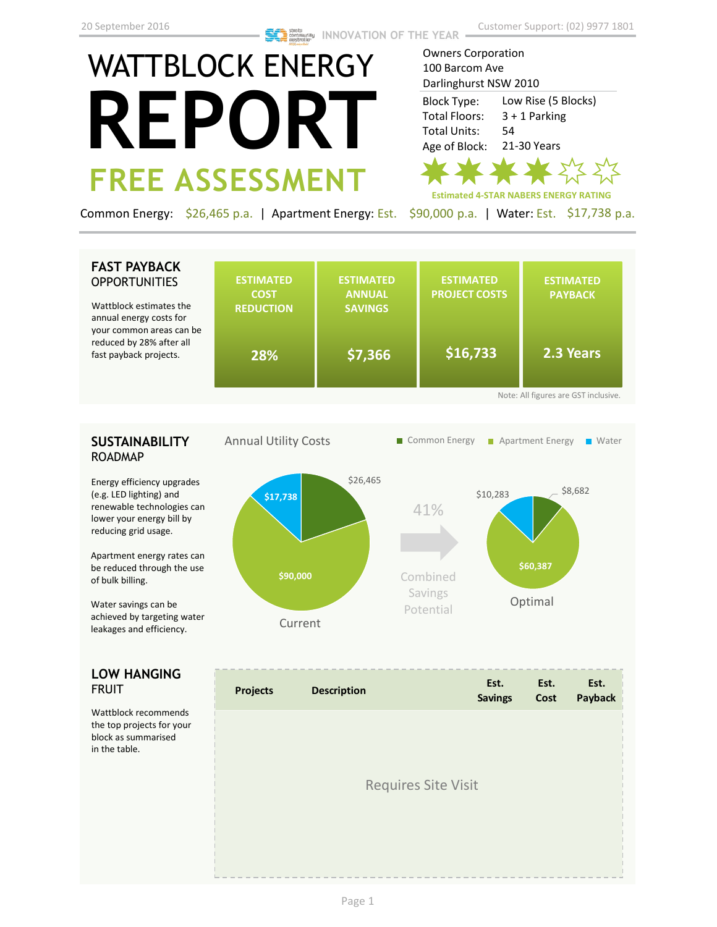# WATTBLOCK ENERGY **REPORT FREE ASSESSMENT**

Owners Corporation 100 Barcom Ave Darlinghurst NSW 2010 Low Rise (5 Blocks) 3 + 1 Parking 54 21-30 Years Block Type: Total Floors: Total Units: Age of Block:

**Estimated 4-STAR NABERS ENERGY RATING**

Common Energy: \$26,465 p.a. | Apartment Energy: Est. \$90,000 p.a. | Water: Est. \$17,738 p.a.

# **FAST PAYBACK OPPORTUNITIES**

Wattblock estimates the annual energy costs for your common areas can b reduced by 28% after all fast payback projects.

|    | <b>ESTIMATED</b><br><b>COST</b><br><b>REDUCTION</b> | <b>ESTIMATED</b><br><b>ANNUAL</b><br><b>SAVINGS</b> | <b>ESTIMATED</b><br><b>PROJECT COSTS</b> | <b>ESTIMATED</b><br><b>PAYBACK</b> |
|----|-----------------------------------------------------|-----------------------------------------------------|------------------------------------------|------------------------------------|
| ۱e | 28%                                                 | \$7,366                                             | \$16,733                                 | 2.3 Years                          |

# **SUSTAINABILITY** ROADMAP

Energy efficiency upgrades (e.g. LED lighting) and renewable technologies can lower your energy bill by reducing grid usage.

Apartment energy rates can be reduced through the use of bulk billing.

Water savings can be achieved by targeting water leakages and efficiency.

# **LOW HANGING**  FRUIT

Wattblock recommends the top projects for your block as summarised in the table.



| <b>Projects</b> | <b>Description</b>         | Est.<br><b>Savings</b> | Est.<br>Cost | Est.<br>Payback |
|-----------------|----------------------------|------------------------|--------------|-----------------|
|                 | <b>Requires Site Visit</b> |                        |              |                 |
|                 |                            |                        |              |                 |